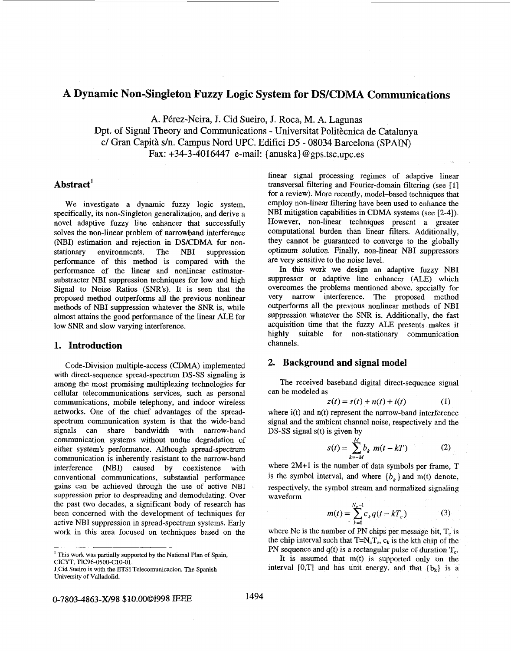# A Dynamic Non-Singleton Fuzzy Logic System for DS/CDMA Communications

**A.** Perez-Neira, J. Cid Sueiro, J. Roca, M. **A.** Lagunas Dpt. of Signal Theory and Communications - Universitat Politècnica de Catalunya c/ Gran Capita s/n. Campus Nord UPC. Edifici D5 - **08034** Barcelona **(SPAIN)**  Fax:  $+34-3-4016447$  e-mail: {anuska} @gps.tsc.upc.es

# **Abstract'**

We investigate a dynamic fuzzy logic system, specifically, its non-Singleton generalization, and derive a novel adaptive fuzzy line enhancer that successfully solves the non-linear problem of narrowband interference (NBI) estimation and rejection in DS/CDMA for nonstationary environments. The NBI suppression performance of this method is compared with the performance of the linear and nonlinear estimatorsubstracter NBI suppression techniques for low and high Signal to Noise Ratios *(SNR's).* It is seen that the proposed method outperforms all the previous nonlinear methods of NBI suppression whatever the *SNR* is, while almost attains the good performance of the linear ALE for low *SNR* and slow varying interference.

# **1. Introduction**

Code-Division multiple-access (CDMA) implemented with direct-sequence spread-spectrum **DS-SS** signaling is among the most promising multiplexing technologies for cellular telecommunications services, such as personal communications, mobile telephony, and indoor wireless networks. One of the chief advantages of the spreadspectrum communication system is that the wide-band signals can share bandwidth with narrow-band communication systems without nndue degradation of either system's performance. Although spread-spectrum communication is inherently resistant to the narrow-band interference (NBI) caused by coexistence with conventional communications, substantial performance gains can be achieved through the use of active **NBI**  suppression prior to despreading and demodulating. Over the past two decades, a significant body of research has been concerned with the development of techniques for active NBI suppression in spread-spectrum systems. Early work in this area focused on techniques based on the

linear signal processing regimes of adaptive linear transversal filtering and Fourier-domain filtering (see [ **<sup>11</sup>** for a review). More recently, model-based techniques that employ non-hear fikering have been used to enhance the NBI mitigation capabilities in CDMA systems (see [2-41). However, non-linear techniques present a greater computational burden than linear filters. Additionally, they cannot be guaranteed to converge to the globally optimum solution. Finally, non-linear NBI suppressors are very sensitive to the noise level.

In this work we design an adaptive fuzzy NBI suppressor or adaptive line enhancer (ALE) which overcomes the problems mentioned above, specially for very narrow interference. The proposed method outperforms all the previous nonlinear methods of NBI suppression whatever the *SNR* is. Additionally, the fast acquisition time that the fuzzy ALE presents makes it highly suitable for non-stationary communication channels.

## **2. Background and signal model**

The received baseband digital direct-sequence signal can be modeled **as** 

$$
z(t) = s(t) + n(t) + i(t)
$$
 (1)

where  $i(t)$  and  $n(t)$  represent the narrow-band interference signal and the ambient channel noise, respectively and the **DS-SS** signal s(t) is given by

$$
s(t) = \sum_{k=-M}^{M} b_k \ m(t - kT) \tag{2}
$$

where **2M+1** is the number of data symbols per frame, T is the symbol interval, and where  ${b_k}$  and m(t) denote, respectively, the symbol stream and normalized signaling waveform

$$
m(t) = \sum_{k=0}^{N_c - 1} c_k q(t - kT_c)
$$
 (3)

where Nc is the number of PN chips per message bit,  $T_c$  is the chip interval such that  $T=N_cT_c$ ,  $c_k$  is the kth chip of the PN sequence and  $q(t)$  is a rectangular pulse of duration  $T_c$ .

It is assumed that m(t) is supported only on the interval  $[0, T]$  and has unit energy, and that  $\{b_k\}$  is a

<sup>&#</sup>x27; This work was partially supported by the National Plan of Spain, CICYT, **TIC96-0500-C10-01.** 

J.Cid Sueiro is with the **ETSI** Telecomunicacion, The Spanish University of Valladolid.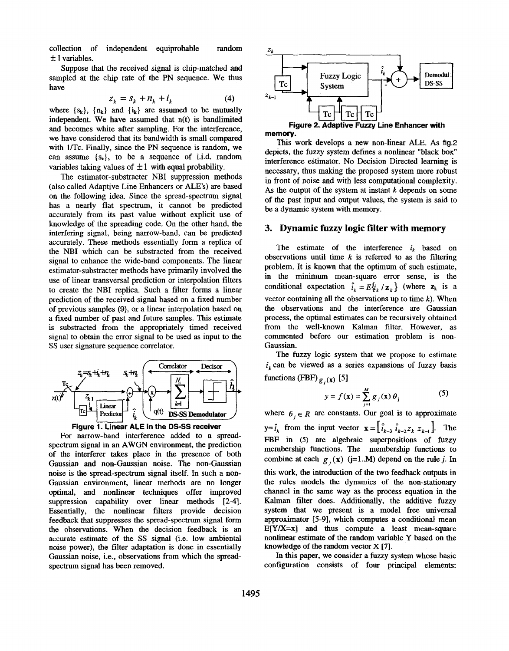collection of independent equiprobable random  $\pm$  1 variables.

Suppose that the received signal is chip-matched and sampled at the chip rate of the PN sequence. We thus have

$$
z_k = s_k + n_k + i_k \tag{4}
$$

where  $\{s_k\}$ ,  $\{n_k\}$  and  $\{i_k\}$  are assumed to be mutually independent. We have assumed that n(t) is bandlimited and becomes white after sampling. For the interference, we have considered that its bandwidth is small compared with l/Tc. Finally, since the PN sequence is random, we can assume **{sr},** to be **a** sequence of i.i.d. random variables taking values of  $\pm 1$  with equal probability.

The estimator-substracter NBI suppression methods (also called Adaptive Line Enhancers or **ALE'S)** are based on the following idea. Since the spread-spectrum signal has a nearly flat spectrum, it cannot be predicted accurately from its past value without expIicit use of knowledge of the spreading code. On the other hand, the interfering signal, being narrow-band, can be predicted accurately. These methods essentially form a replica of the NBI which can be substracted from the received signal to enhance the wide-band components. The linear estimator-substracter methods have primarily involved the use of linear transversal prediction or interpolation filters to create the NBI replica. Such a filter forms a linear prediction of the received signal based on a fixed number of previous samples **(9),** or a linear interpolation based on a fixed number of past and future samples. This estimate is substracted from the appropriately timed received signal to obtain the error signal to be used **as** input to the **SS** user signature sequence correlator.





For narrow-band interference added to a spreadspectrum signal in an AWGN environment, the prediction of the interferer takes place in the presence of both Gaussian and non-Gaussian noise. The non-Gaussian noise is the spread-spectrum signal itself. In such a non-Gaussian environment, linear methods are no longer optimal, and nonlinear techniques offer improved suppression capability over linear methods [2-4]. Essentially, the nonlinear filters provide decision feedback that suppresses the spread-spectrum signal form the observations. When the decision feedback is an accurate estimate of the **SS** signal (i.e. low ambiental noise power), the filter adaptation is done in essentially Gaussian noise, i.e., observations from which the spreadspectrum signal has been removed.





This work develops a new non-linear ALE. As fig.2 depicts, the fuzzy system defines a nonlinear "black box" interference estimator. No Decision Directed learning is necessary, thus making the proposed system more robust in front of noise and with less computational complexity. As the output of the system at instant *k* depends on some of the past input and output values, the system is said to be a dynamic system with memory.

# **3. Dynamic fuzzy logic filter with memory**

The estimate of the interference  $i_k$  based on observations until time  $k$  is referred to as the filtering problem. It is known that the optimum of such estimate, in the minimum mean-square error sense, is the conditional expectation  $\hat{i}_k = E\{i_k / \mathbf{z}_k\}$  (where  $\mathbf{z}_k$  is a vector containing all the observations up to time *k).* When the observations and the interference are Gaussian process, the optimal estimates can be recursively obtained from the well-known Kalman filter. However, **as**  commented before our estimation problem is non-Gaussian.

The fuzzy logic system that we propose to estimate  $i_k$  can be viewed as a series expansions of fuzzy basis functions (FBF)  $g_i(x)$  [5]

$$
y = f(\mathbf{x}) = \sum_{j=1}^{M} g_j(\mathbf{x}) \theta_j \tag{5}
$$

where  $\mathbf{6}_i \in \mathbb{R}$  are constants. Our goal is to approximate  $y = \hat{i}_k$  from the input vector  $\mathbf{x} = \begin{bmatrix} \hat{i}_{k-3} & \hat{i}_{k-2}z_k & z_{k-1} \end{bmatrix}$ . The **FBF** in *(5)* are algebraic superpositions of fuzzy membership functions. The membership functions to combine at each  $g_i(x)$  (j=1..M) depend on the rule *j*. In this work, the introduction of the two feedback outputs in the rules models the dynamics of the non-stationary channel in the same way **as** the process equation in the Kalman filter does. Additionally, the additive fuzzy system that we present is a model free universal approximator **[5-91,** which computes a conditional mean  $E[Y/X=x]$  and thus compute a least mean-square nonlinear estimate of the random variable Y based on the knowledge of the random vector **X** *[7].* 

In **this** paper, we consider a fuzzy system whose basic configuration consists of four principal elements: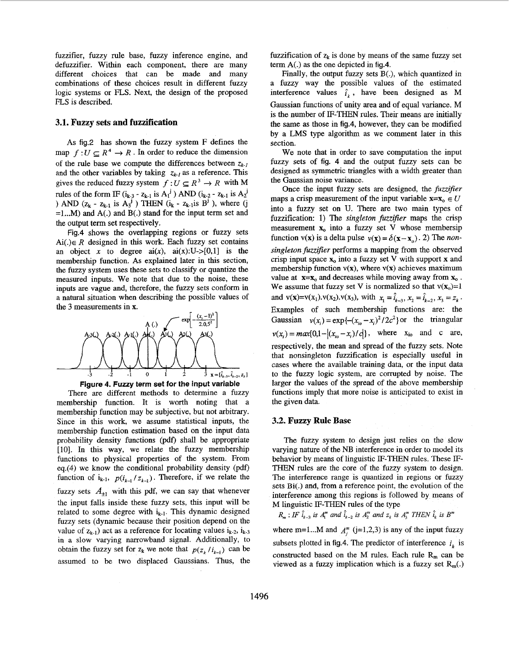fuzzifier, fuzzy rule base, fuzzy inference engine, and defuzzifier. Within each component, there are many different choices that can be made and many combinations of these choices result in different fuzzy logic systems or **FLS.** Next, the design of the proposed **FLS** is described.

### **3.1. Fuzzy sets and fuzzification**

**As** fig.2 has shown the fuzzy system F defines the map  $f: U \subseteq R^4 \to R$ . In order to reduce the dimension of the rule base we compute the differences between *Zk.1*  and the other variables by taking  $z_{k,l}$  as a reference. This gives the reduced fuzzy system  $f : U \subseteq R^3 \to R$  with M rules of the form IF  $(i_{k-3} - z_{k-1}$  is  $A_1^j$ ) AND  $(i_{k-2} - z_{k-1}$  is  $A_2^j$ ) **AND**  $(z_k - z_{k-1}$  is  $A_3^j$  THEN  $(i_k - z_{k-1}$  is  $B^j$ , where (j =1 ... M) and **A(.)** and **B(.)** stand for the input term set and the output term set respectively.

Fig.4 shows the overlapping regions or fuzzy sets Ai( $\lambda \in R$  designed in this work. Each fuzzy set contains an object x to degree  $ai(x)$ ,  $ai(x):U-[0,1]$  is the membership function. As explained later in this section, the fuzzy system uses these sets to classify or quantize the measured inputs. We note that due to the noise, these inputs are vague and, therefore, the fuzzy sets conform in a natural situation when describing the possible values of the **3** measurements in x.





There are different methods to determine a fuzzy membership function. It is worth noting that a membership function may be subjective, but not arbitrary. Since in this work, we assume statistical inputs, the membership function estimation based on the input data probability density functions (pdf) shall be appropriate [lo]. In this way, we relate the fuzzy membership functions to physical properties of the system. From eq.(4) we know the conditional probability density (pdf) function of  $i_{k-1}$ ,  $p(i_{k-1}/z_{k-1})$ . Therefore, if we relate the fuzzy sets  $A_{\pm 1}$  with this pdf, we can say that whenever the input falls inside these fuzzy sets, this input will be related to some degree with  $i_{k-1}$ . This dynamic designed fuzzy sets (dynamic because their position depend on the value of  $z_{k-1}$ ) act as a reference for locating values  $i_{k-2}$ ,  $i_{k-3}$ in a slow varying narrowband signal. Additionally, to obtain the fuzzy set for  $z_k$  we note that  $p(z_k / i_{k-i})$  can be assumed to be two displaced Gaussians. Thus, the fuzzification of  $z_k$  is done by means of the same fuzzy set term A(.) **as** the one depicted in fig.4.

Finally, the output fuzzy sets **B(.),** which quantized in a fuzzy way the possible values of the estimated interference values  $\hat{i}_k$ , have been designed as M Gaussian functions of unity area and of equal variance. M is the number of IF-THEN rules. Their means are initially the same **as** those in fig.4, however, they can be modified by a LMS type algorithm as we comment later in this section.

We note that in order to save computation the input fuzzy sets of fig. 4 and the output fuzzy sets can be designed as symmetric triangles with a width greater than the Gaussian noise variance.

Once the input fuzzy sets are designed, the *fuzzifier* maps a crisp measurement of the input variable  $\mathbf{x} = \mathbf{x}_0 \in U$ into a fuzzy set on U. There are two main types of fuzzification: **1)** The *singleton fuzzijier* maps the crisp measurement  $x_0$  into a fuzzy set V whose membersip function  $v(x)$  is a delta pulse  $v(x) = \delta(x-x_0)$ . 2) The *nonsingleton fuzzifier performs a mapping from the observed* crisp input space  $\mathbf{x}_0$  into a fuzzy set V with support **x** and membership function  $v(x)$ , where  $v(x)$  achieves maximum value at  $\mathbf{x} = \mathbf{x}_0$  and decreases while moving away from  $\mathbf{x}_0$ .<br>We assume that fuzzy set V is normalized so that  $v(\mathbf{x}_0)=1$ and  $v(x)=v(x_1) \cdot v(x_2) \cdot v(x_3)$ , with  $x_1 = \hat{i}_{k-3}, x_2 = \hat{i}_{k-2}, x_3 = z_k$ . Examples of such membership functions are: the Gaussian  $v(x_i) = \exp\{- (x_i - x_i)^2 / 2c^2\}$  or the triangular  $v(x_i) = max\{0, 1 - |(x_{i_0} - x_i)/c|\},$  where  $x_{i_0}$  and c are, respectively, the mean and spread of the fuzzy sets. Note that nonsingleton fuzzification is especially useful in cases where the available training data, or the input data to the fuzzy logic system, are corrupted by noise. The larger the values of the spread of the above membership functions imply that more noise is anticipated to exist in the given data.

#### **3.2. Fuzzy Rule Base**

The fuzzy system to design just relies on the slow varying nature of the **NB** interference in order to model its behavior by means of linguistic IF-THEN rules. These **IF-**THEN rules are the core of the fuzzy system *to* design. The interference range is quantized in regions or fuzzy sets **Bi(.)** and, from a reference point, the evolution of the interference among this regions is followed by means of M linguistic IF-THEN rules of the type

 $R_m$ : *IF*  $\hat{i}_{k-3}$  *is A*<sub>1</sub><sup>*m*</sup> and  $\hat{i}_{k-2}$  *is A*<sub>2</sub><sup>*m*</sup> and  $z_k$  *is A*<sub>3</sub><sup>*m*</sup> *THEN*  $\hat{i}_k$  *is B*<sup>*m*</sup>

where m=1...M and  $A_i^m$  (j=1,2,3) is any of the input fuzzy subsets plotted in fig.4. The predictor of interference  $i_k$  is constructed based on the M rules. Each rule  $R_m$  can be viewed as a fuzzy implication which is a fuzzy set  $R_m(.)$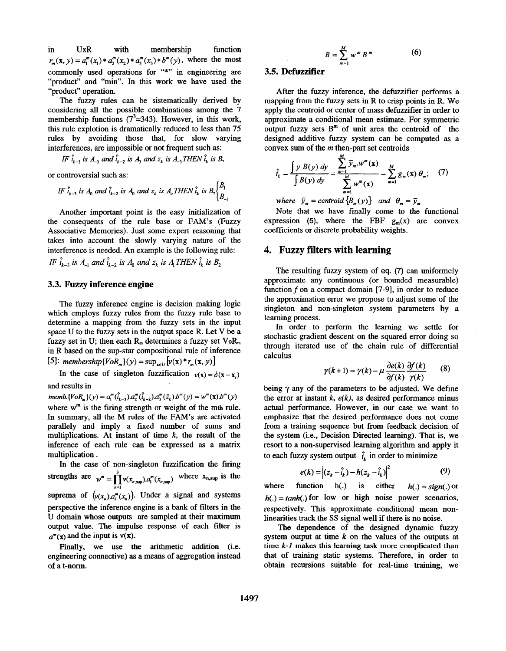in UxR with membership function commonly used operations for "\*" in engineering are "product" and "min". In this work we have used the "product" operation.  $r_m(\mathbf{x}, y) = a_1^m(x_1) * a_2^m(x_2) * a_3^m(x_3) * b^m(y)$ , where the most

The fuzzy rules can be sistematically derived by considering all the possible combinations among the 7 membership functions  $(7^3=343)$ . However, in this work, this rule explotion is dramatically reduced to less than 75 rules by avoiding those that, for slow varying

interferences, are impossible or not frequent such as:  
\nIF 
$$
\hat{i}_{k-3}
$$
 is  $A_{-3}$  and  $\hat{i}_{k-2}$  is  $A_3$  and  $z_k$  is  $A_{-3}$  THEN  $\hat{i}_k$  is  $B_2$ 

or controversial such **as:** 

$$
IF \hat{i}_{k-3} \text{ is } A_0 \text{ and } \hat{i}_{k-2} \text{ is } A_0 \text{ and } z_k \text{ is } A_0 \text{ THEN } \hat{i}_k \text{ is } B_2 \begin{cases} B_1 \\ B_{-1} \end{cases}
$$

Another important point is the easy initialization of the consequents of the rule base or FAM's (Fuzzy Associative Memories). Just some expert reasoning that takes into account the slowly varying nature of the interference is needed. An example is the following rule: *IF*  $\hat{i}_{k-3}$  *is A<sub>-1</sub> and*  $\hat{i}_{k-2}$  *is A<sub>0</sub> and z<sub>k</sub> is A<sub>1</sub> THEN*  $\hat{i}_k$  *is B<sub>2</sub>* 

### **3.3. Fuzzy inference engine**

The fuzzy inference engine is decision making logic which employs fuzzy rules from the fuzzy rule base to determine a mapping from the fuzzy sets in the input space U to the fuzzy sets in the output space R. Let V be a fuzzy set in U; then each  $R_m$  determines a fuzzy set  $V_0R_m$ in R based on the sup-star compositional rule of inference [5]: *membership*{ $VoR_m$ }(y) =  $\sup_{x \in U}$ [v(x) \*  $r_m(x, y)$ ]

In the case of singleton fuzzification  $v(x) = \delta(x - x)$ and results in

 $memb. \{VoR_m\}(y) = a_1^m(\hat{i}_{k-3})a_2^m(\hat{i}_{k-2})a_3^m(\hat{z}_k)b^m(y) = w^m(\mathbf{x})b^m(y)$ where  $w^m$  is the firing strength or weight of the mth rule. In summary, all the M rules of the FAM's are activated parallely and imply a fixed number of sums and multiplications. At instant of time *k,* the result of the inference of each rule can be expressed **as** a matrix multiplication .

In the case of non-singleton fuzzification the firing strengths are  $w^m = \prod_{n=1}^{3} v(x_{n, \text{sup}}) \cdot a_1^m(x_{n, \text{sup}})$  where  $x_{n, \text{sup}}$  is the suprema of  $(\nu(x_n) a_n^m(x_n))$ . Under a signal and systems perspective the inference engine is a bank of filters in the U domain whose outputs are sampled at their maximum output value. The impulse response of each filter is  $a^m(x)$  and the input is  $v(x)$ .

Finally, we use the arithmetic addition (i.e. engineering connective) **as a** means of aggregation instead of a t-norm.

$$
B = \sum_{m=1}^{M} w^m B^m \tag{6}
$$

# **3.5. Defuzzifier**

After the fuzzy inference, the defuzzifier performs a mapping from the fuzzy sets in R to crisp points in R. We apply the centroid or center of mass defuzzifier in order to approximate a conditional mean estimate. For symmetric output fuzzy sets  $B^m$  of unit area the centroid of the designed additive fuzzy system can be computed **as** a convex sum of the *m* then-part set centroids

$$
\hat{i}_k = \frac{\int y \ B(y) \ dy}{\int B(y) \ dy} = \frac{\sum_{m=1}^{m} \overline{y}_m \cdot w^m(\mathbf{x})}{\sum_{m=1}^{M} w^m(\mathbf{x})} = \sum_{m=1}^{M} g_m(\mathbf{x}) \ \theta_m; \quad (7)
$$

*where*  $\bar{y}_m =$  *centroid*  $\{B_m(y)\}$  *and*  $\theta_m = \bar{y}_m$ 

Note that we have finally come to the functional expression (5), where the FBF  $g_m(x)$  are convex coefficients or discrete probability weights.

### **4. Fuzzy filters with learning**

The resulting fuzzy system of **eq.** (7) can uniformely approximate any continuous (or bounded measurable) function  $f$  on a compact domain  $[7-9]$ , in order to reduce the approximation error we propose to adjust some of the singleton and non-singleton system parameters by a learning process.

In order to perform the learning we settle for stochastic gradient descent on the squared error doing so through iterated use of the chain rule of differential calculus

$$
\gamma(k+1) = \gamma(k) - \mu \frac{\partial e(k)}{\partial f(k)} \frac{\partial f(k)}{\gamma(k)} \tag{8}
$$

being  $\gamma$  any of the parameters to be adjusted. We define the error at instant  $k$ ,  $e(k)$ , as desired performance minus actual performance. However, in our case we want to emphasize that the desired performance does not come from a training sequence but from feedback decision of the system (i.e., Decision Direzted learning). That is, we resort to a non-supervised learning algorithm and apply it to each fuzzy system output  $\hat{i}_k$  in order to minimize

$$
e(k) = |(z_k - \hat{i}_k) - h(z_k - \hat{i}_k)|^2
$$
 (9)

where function  $h(.)$  is either  $h(.) = sign(.)$  or  $h(.) = tanh(.)$  for low or high noise power scenarios, respectively. This approximate conditional mean nonlinearities track the **SS** signal well if there is no noise.

The dependence of the designed dynamic fuzzy system output at time *k* on the values of the outputs at **time** *k-I* makes this learning **task** more complicated than that of training static systems. Therefore, in order to obtain recursions suitable for real-time training, we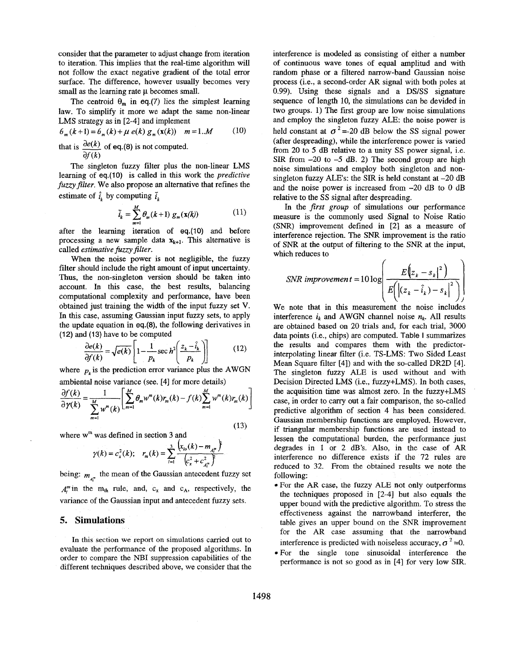consider that the parameter to adjust change from iteration to iteration. This implies that the real-time algorithm will not follow the exact negative gradient of the total error surface. The difference, however usually becomes very small as the learning rate  $\mu$  becomes small.

The centroid  $\theta_m$  in eq.(7) lies the simplest learning law. To simplify it more we adapt the same non-linear LMS strategy as in [2-4] and implement

$$
\theta_m(k+1) = \theta_m(k) + \mu \, e(k) \, g_m(\mathbf{x}(k)) \quad m = 1..M \tag{10}
$$

that is  $\frac{de(k)}{e}$  of eq.(8) is not computed. *af (k)* 

The singleton fuzzy filter plus the non-linear LMS learning of **eq.**(10) is called in this work the *predictive fuzzyfifilter.* We also propose an alternative that refines the estimate of  $\hat{i}_k$  by computing  $\tilde{i}_k$ 

$$
\bar{i}_k = \sum_{m=1}^M \theta_m(k+1) g_m(\mathbf{x}(k)) \tag{11}
$$

after the learning iteration of **eq.(lO)** and before processing a new sample data  $\mathbf{x}_{k+1}$ . This alternative is called *estimative fuzzy filter.* 

When the noise power is not negligible, the fuzzy filter should include the right amount of input uncertainty. Thus, the non-singleton version should be taken into account. In this case, the best results, balancing computational complexity and performance, have been obtained just training the width of the input fuzzy set **V.**  In this case, assuming Gaussian input fuzzy sets, to apply the update equation in **eq.(8),** the following derivatives in (12) and (13) have to be computed

$$
\frac{\partial e(k)}{\partial f(k)} = \sqrt{e(k)} \left[ 1 - \frac{1}{p_k} \sec h^2 \left( \frac{z_k - \hat{i}_k}{p_k} \right) \right] \tag{12}
$$

where  $p_k$  is the prediction error variance plus the AWGN ambiental noise variance (see. **[4]** for more details)

$$
\frac{\partial f(k)}{\partial \gamma(k)} = \frac{1}{\sum_{m=1}^{M} w^m(k)} \left[ \sum_{m=1}^{M} \theta_m w^m(k) r_m(k) - f(k) \sum_{m=1}^{M} w^m(k) r_m(k) \right]
$$
\n(13)

where w<sup>m</sup> was defined in section 3 and

$$
\gamma(k) = c_x^2(k); \quad r_m(k) = \sum_{l=1}^3 \frac{\left(x_{l_o}(k) - m_{A_l^m}\right)^2}{\left(c_x^2 + c_{A_l^m}^2\right)^2}
$$

being:  $m_{A_i^m}$  the mean of the Gaussian antecedent fuzzy set  $A_i^m$  in the m<sub>th</sub> rule, and, c<sub>x</sub> and c<sub>A</sub>, respectively, the variance of the Gaussian input and antecedent fuzzy sets.

### *5.* **Simulations**

In **this** section **we** report on simulations carried out to evaluate the performance of the proposed algorithms. In order to compare the NBI suppression capabilities of the different techniques described above, we consider that the interference is modeled **as** consisting of either a number of continuous wave tones of equal amplitud and with random phase or a filtered narrow-band Gaussian noise process (i.e., a second-order AR signal with both poles at 0.99). Using these signals and a DS/SS signature sequence of length 10, the simulations can be devided in two groups. 1) The **first** group are low noise simulations and employ the singleton fuzzy ALE: the noise power is held constant at  $\sigma^2$  =-20 dB below the SS signal power (after despreading), while the interference power is varied from 20 to 5 dB relative to a unity *SS* power signal, i.e. SIR from **-20** to **-5** dB. **2)** The second group are high noise simulations and employ both singleton and nonsingleton fuzzy ALE's: the SIR is held constant at  $-20$  dB and the noise power is increased from -20 dB to 0 dB relative to the **SS** signal after despreading.

In the *first group* of simulations our performance measure is the commonly used Signal to Noise Ratio *(SNR)* improvement defined in [21 **as** a measure of interference rejection. The *SNR* improvement is the ratio of *SNR* at the output of filtering to the SNR at the input, which reduces to

SNR improvement = 
$$
10 \log \left( \frac{E(z_k - s_k|^2)}{E(|z_k - \hat{i}_k) - s_k|^2)} \right)
$$

We note that in this measurement the noise includes interference  $i_k$  and AWGN channel noise  $n_k$ . All results are obtained based on 20 trials and, for each trial, 3000 data points (i.e., chips) are computed. **Table I** summarizes the results and compares them with the predictorinterpolating linear filter (i.e. TS-LMS: Two Sided Least Mean Square filter **[4])** and with the so-called **DR2D [4].**  The singleton fuzzy ALE is used without and with Decision Directed LMS (i.e., fuzzy+LMS). In both cases, the acquisition time was almost zero. In the fuzzy+LMS case, in order to carry out **a** fair comparison, the so-called predictive algorithm of section **4** has been considered. Gaussian membership functions are employed. However, if triangular membership functions are used instead to lessen the computational burden, the performance just degrades in **1** or 2 dB's. Also, in the case of AR interference no difference exists if the **72** rules are reduced to 32. From the obtained results we note the following:

- For the **AR** case, the fuzzy ALE not only outperforms the techniques proposed in  $[2-4]$  but also equals the upper bound with the predictive algorithm. To stress the effectiveness against the narrowband interferer, the table gives an upper bound on the SNR improvement for the AR case assuming that the narrowband interference is predicted with noiseless accuracy,  $\sigma^2$  =0.
- For the single tone sinusoidal interference the performance is not so good as in [4] for very low SIR.